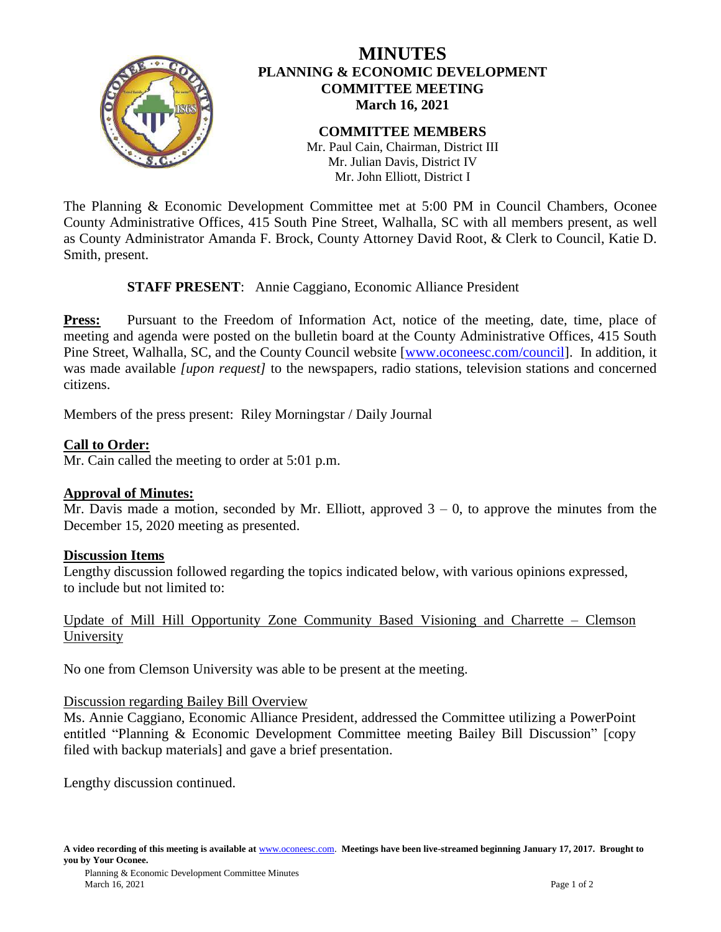

# **MINUTES PLANNING & ECONOMIC DEVELOPMENT COMMITTEE MEETING March 16, 2021**

#### **COMMITTEE MEMBERS** Mr. Paul Cain, Chairman, District III Mr. Julian Davis, District IV Mr. John Elliott, District I

The Planning & Economic Development Committee met at 5:00 PM in Council Chambers, Oconee County Administrative Offices, 415 South Pine Street, Walhalla, SC with all members present, as well as County Administrator Amanda F. Brock, County Attorney David Root, & Clerk to Council, Katie D. Smith, present.

## **STAFF PRESENT**: Annie Caggiano, Economic Alliance President

**Press:** Pursuant to the Freedom of Information Act, notice of the meeting, date, time, place of meeting and agenda were posted on the bulletin board at the County Administrative Offices, 415 South Pine Street, Walhalla, SC, and the County Council website [\[www.oconeesc.com/council\]](http://www.oconeesc.com/council). In addition, it was made available *[upon request]* to the newspapers, radio stations, television stations and concerned citizens.

Members of the press present: Riley Morningstar / Daily Journal

# **Call to Order:**

Mr. Cain called the meeting to order at 5:01 p.m.

## **Approval of Minutes:**

Mr. Davis made a motion, seconded by Mr. Elliott, approved  $3 - 0$ , to approve the minutes from the December 15, 2020 meeting as presented.

## **Discussion Items**

Lengthy discussion followed regarding the topics indicated below, with various opinions expressed, to include but not limited to:

Update of Mill Hill Opportunity Zone Community Based Visioning and Charrette – Clemson University

No one from Clemson University was able to be present at the meeting.

## Discussion regarding Bailey Bill Overview

Ms. Annie Caggiano, Economic Alliance President, addressed the Committee utilizing a PowerPoint entitled "Planning & Economic Development Committee meeting Bailey Bill Discussion" [copy filed with backup materials] and gave a brief presentation.

Lengthy discussion continued.